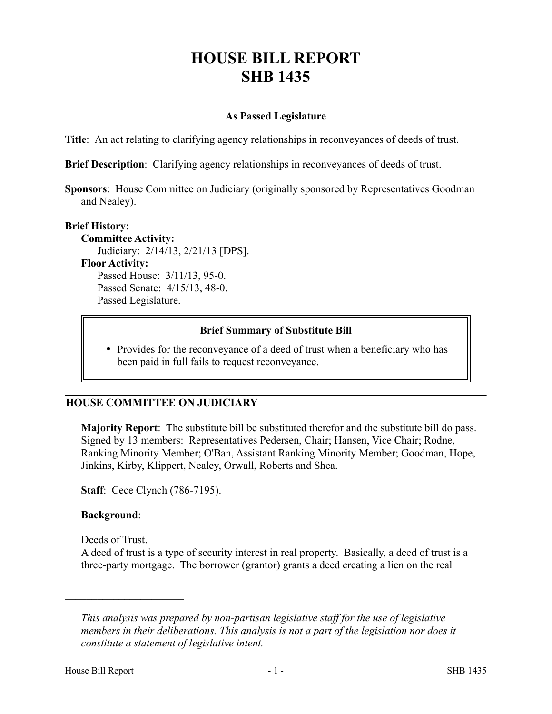# **HOUSE BILL REPORT SHB 1435**

## **As Passed Legislature**

**Title**: An act relating to clarifying agency relationships in reconveyances of deeds of trust.

**Brief Description**: Clarifying agency relationships in reconveyances of deeds of trust.

**Sponsors**: House Committee on Judiciary (originally sponsored by Representatives Goodman and Nealey).

#### **Brief History:**

**Committee Activity:** Judiciary: 2/14/13, 2/21/13 [DPS]. **Floor Activity:** Passed House: 3/11/13, 95-0. Passed Senate: 4/15/13, 48-0. Passed Legislature.

### **Brief Summary of Substitute Bill**

• Provides for the reconveyance of a deed of trust when a beneficiary who has been paid in full fails to request reconveyance.

### **HOUSE COMMITTEE ON JUDICIARY**

**Majority Report**: The substitute bill be substituted therefor and the substitute bill do pass. Signed by 13 members: Representatives Pedersen, Chair; Hansen, Vice Chair; Rodne, Ranking Minority Member; O'Ban, Assistant Ranking Minority Member; Goodman, Hope, Jinkins, Kirby, Klippert, Nealey, Orwall, Roberts and Shea.

**Staff**: Cece Clynch (786-7195).

#### **Background**:

Deeds of Trust.

––––––––––––––––––––––

A deed of trust is a type of security interest in real property. Basically, a deed of trust is a three-party mortgage. The borrower (grantor) grants a deed creating a lien on the real

*This analysis was prepared by non-partisan legislative staff for the use of legislative members in their deliberations. This analysis is not a part of the legislation nor does it constitute a statement of legislative intent.*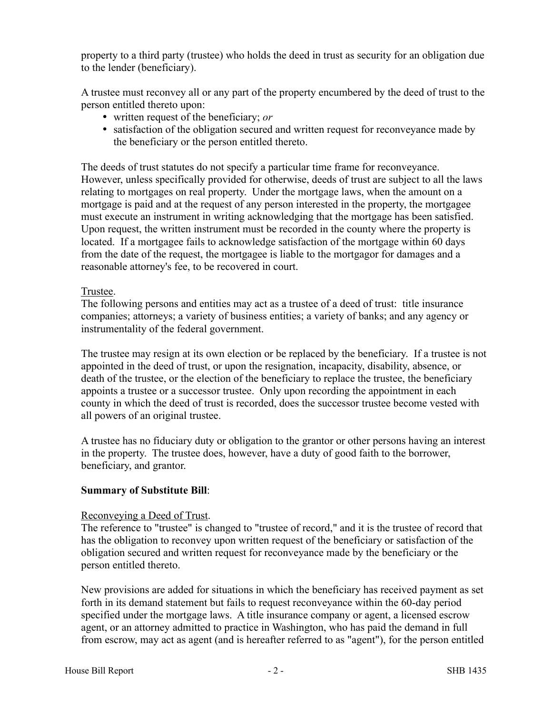property to a third party (trustee) who holds the deed in trust as security for an obligation due to the lender (beneficiary).

A trustee must reconvey all or any part of the property encumbered by the deed of trust to the person entitled thereto upon:

- written request of the beneficiary; *or*
- satisfaction of the obligation secured and written request for reconveyance made by the beneficiary or the person entitled thereto.

The deeds of trust statutes do not specify a particular time frame for reconveyance. However, unless specifically provided for otherwise, deeds of trust are subject to all the laws relating to mortgages on real property. Under the mortgage laws, when the amount on a mortgage is paid and at the request of any person interested in the property, the mortgagee must execute an instrument in writing acknowledging that the mortgage has been satisfied. Upon request, the written instrument must be recorded in the county where the property is located. If a mortgagee fails to acknowledge satisfaction of the mortgage within 60 days from the date of the request, the mortgagee is liable to the mortgagor for damages and a reasonable attorney's fee, to be recovered in court.

### Trustee.

The following persons and entities may act as a trustee of a deed of trust: title insurance companies; attorneys; a variety of business entities; a variety of banks; and any agency or instrumentality of the federal government.

The trustee may resign at its own election or be replaced by the beneficiary. If a trustee is not appointed in the deed of trust, or upon the resignation, incapacity, disability, absence, or death of the trustee, or the election of the beneficiary to replace the trustee, the beneficiary appoints a trustee or a successor trustee. Only upon recording the appointment in each county in which the deed of trust is recorded, does the successor trustee become vested with all powers of an original trustee.

A trustee has no fiduciary duty or obligation to the grantor or other persons having an interest in the property. The trustee does, however, have a duty of good faith to the borrower, beneficiary, and grantor.

### **Summary of Substitute Bill**:

### Reconveying a Deed of Trust.

The reference to "trustee" is changed to "trustee of record," and it is the trustee of record that has the obligation to reconvey upon written request of the beneficiary or satisfaction of the obligation secured and written request for reconveyance made by the beneficiary or the person entitled thereto.

New provisions are added for situations in which the beneficiary has received payment as set forth in its demand statement but fails to request reconveyance within the 60-day period specified under the mortgage laws. A title insurance company or agent, a licensed escrow agent, or an attorney admitted to practice in Washington, who has paid the demand in full from escrow, may act as agent (and is hereafter referred to as "agent"), for the person entitled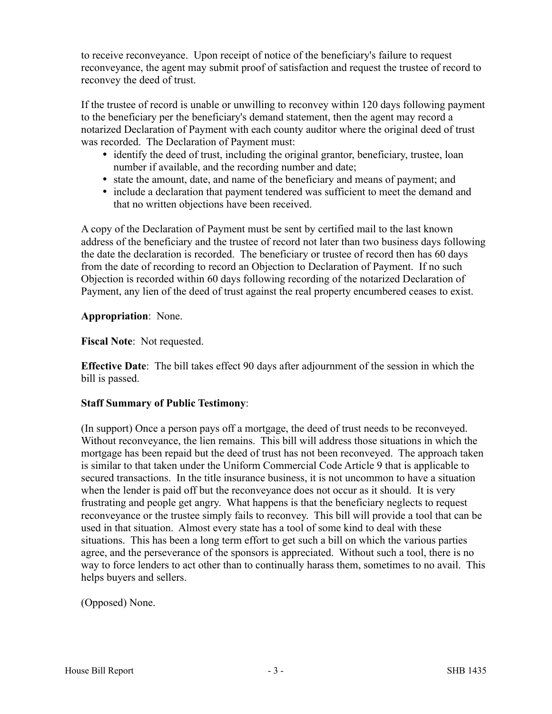to receive reconveyance. Upon receipt of notice of the beneficiary's failure to request reconveyance, the agent may submit proof of satisfaction and request the trustee of record to reconvey the deed of trust.

If the trustee of record is unable or unwilling to reconvey within 120 days following payment to the beneficiary per the beneficiary's demand statement, then the agent may record a notarized Declaration of Payment with each county auditor where the original deed of trust was recorded. The Declaration of Payment must:

- identify the deed of trust, including the original grantor, beneficiary, trustee, loan number if available, and the recording number and date;
- state the amount, date, and name of the beneficiary and means of payment; and
- include a declaration that payment tendered was sufficient to meet the demand and that no written objections have been received.

A copy of the Declaration of Payment must be sent by certified mail to the last known address of the beneficiary and the trustee of record not later than two business days following the date the declaration is recorded. The beneficiary or trustee of record then has 60 days from the date of recording to record an Objection to Declaration of Payment. If no such Objection is recorded within 60 days following recording of the notarized Declaration of Payment, any lien of the deed of trust against the real property encumbered ceases to exist.

## **Appropriation**: None.

**Fiscal Note**: Not requested.

**Effective Date**: The bill takes effect 90 days after adjournment of the session in which the bill is passed.

### **Staff Summary of Public Testimony**:

(In support) Once a person pays off a mortgage, the deed of trust needs to be reconveyed. Without reconveyance, the lien remains. This bill will address those situations in which the mortgage has been repaid but the deed of trust has not been reconveyed. The approach taken is similar to that taken under the Uniform Commercial Code Article 9 that is applicable to secured transactions. In the title insurance business, it is not uncommon to have a situation when the lender is paid off but the reconveyance does not occur as it should. It is very frustrating and people get angry. What happens is that the beneficiary neglects to request reconveyance or the trustee simply fails to reconvey. This bill will provide a tool that can be used in that situation. Almost every state has a tool of some kind to deal with these situations. This has been a long term effort to get such a bill on which the various parties agree, and the perseverance of the sponsors is appreciated. Without such a tool, there is no way to force lenders to act other than to continually harass them, sometimes to no avail. This helps buyers and sellers.

(Opposed) None.